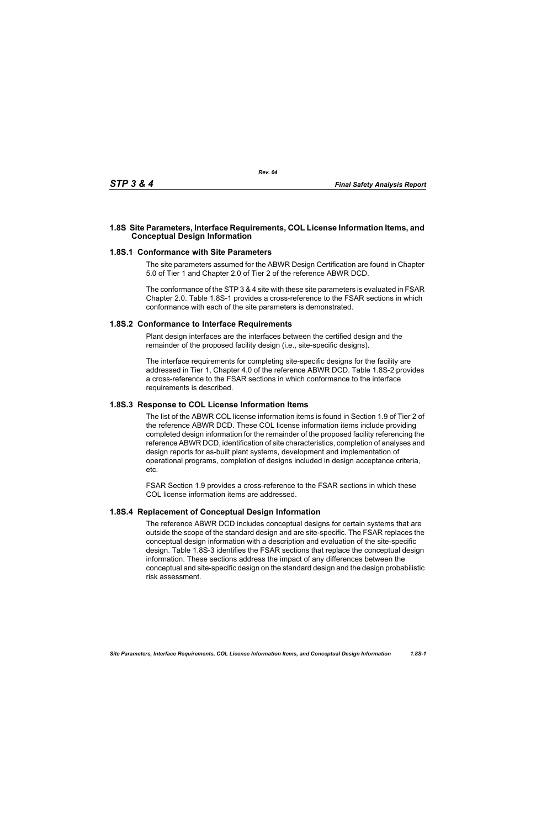## **1.8S Site Parameters, Interface Requirements, COL License Information Items, and Conceptual Design Information**

### **1.8S.1 Conformance with Site Parameters**

The site parameters assumed for the ABWR Design Certification are found in Chapter 5.0 of Tier 1 and Chapter 2.0 of Tier 2 of the reference ABWR DCD.

The conformance of the STP 3 & 4 site with these site parameters is evaluated in FSAR Chapter 2.0. Table [1.8S-1](#page-1-0) provides a cross-reference to the FSAR sections in which conformance with each of the site parameters is demonstrated.

#### **1.8S.2 Conformance to Interface Requirements**

Plant design interfaces are the interfaces between the certified design and the remainder of the proposed facility design (i.e., site-specific designs).

The interface requirements for completing site-specific designs for the facility are addressed in Tier 1, Chapter 4.0 of the reference ABWR DCD. Table [1.8S-2](#page-2-0) provides a cross-reference to the FSAR sections in which conformance to the interface requirements is described.

# **1.8S.3 Response to COL License Information Items**

The list of the ABWR COL license information items is found in Section 1.9 of Tier 2 of the reference ABWR DCD. These COL license information items include providing completed design information for the remainder of the proposed facility referencing the reference ABWR DCD, identification of site characteristics, completion of analyses and design reports for as-built plant systems, development and implementation of operational programs, completion of designs included in design acceptance criteria, etc.

FSAR Section 1.9 provides a cross-reference to the FSAR sections in which these COL license information items are addressed.

# **1.8S.4 Replacement of Conceptual Design Information**

The reference ABWR DCD includes conceptual designs for certain systems that are outside the scope of the standard design and are site-specific. The FSAR replaces the conceptual design information with a description and evaluation of the site-specific design. Table [1.8S-3](#page-3-0) identifies the FSAR sections that replace the conceptual design information. These sections address the impact of any differences between the conceptual and site-specific design on the standard design and the design probabilistic risk assessment.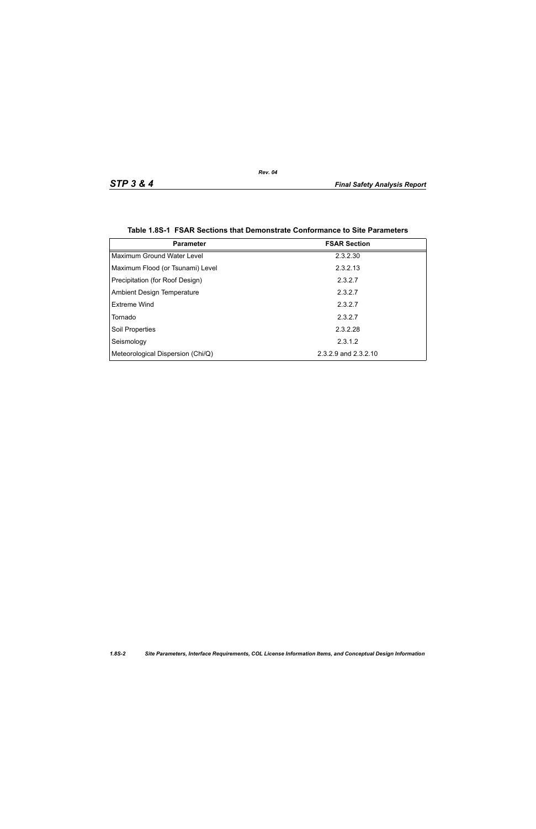<span id="page-1-0"></span>

| <b>Parameter</b>                  | <b>FSAR Section</b>  |
|-----------------------------------|----------------------|
| Maximum Ground Water Level        | 2.3.2.30             |
| Maximum Flood (or Tsunami) Level  | 2.3.2.13             |
| Precipitation (for Roof Design)   | 2.3.2.7              |
| <b>Ambient Design Temperature</b> | 2.3.2.7              |
| Extreme Wind                      | 2.3.2.7              |
| Tornado                           | 2.3.2.7              |
| Soil Properties                   | 2.3.2.28             |
| Seismology                        | 2.3.1.2              |
| Meteorological Dispersion (Chi/Q) | 2.3.2.9 and 2.3.2.10 |

|  |  | Table 1.8S-1 FSAR Sections that Demonstrate Conformance to Site Parameters |  |  |
|--|--|----------------------------------------------------------------------------|--|--|
|--|--|----------------------------------------------------------------------------|--|--|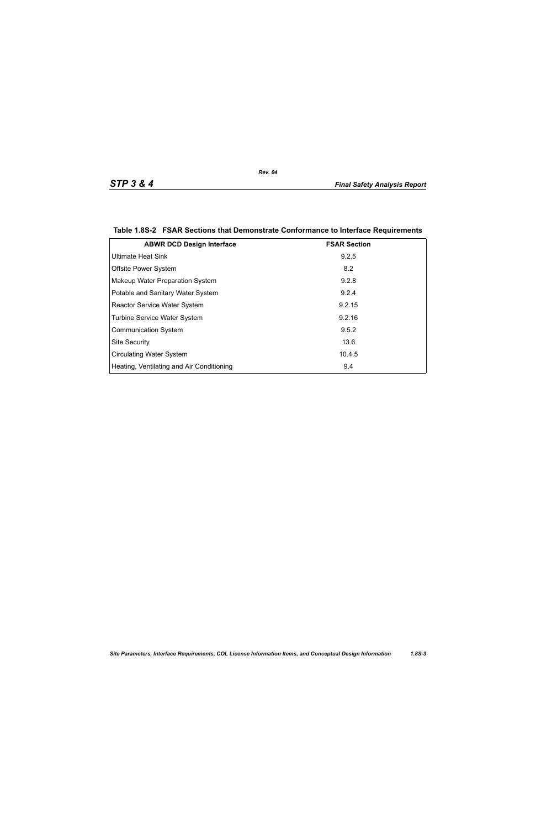| <b>ABWR DCD Design Interface</b>          | <b>FSAR Section</b> |
|-------------------------------------------|---------------------|
| <b>Ultimate Heat Sink</b>                 | 9.2.5               |
| <b>Offsite Power System</b>               | 8.2                 |
| Makeup Water Preparation System           | 9.2.8               |
| Potable and Sanitary Water System         | 9.2.4               |
| <b>Reactor Service Water System</b>       | 9.2.15              |
| Turbine Service Water System              | 9.2.16              |
| <b>Communication System</b>               | 9.5.2               |
| <b>Site Security</b>                      | 13.6                |
| <b>Circulating Water System</b>           | 10.4.5              |
| Heating, Ventilating and Air Conditioning | 9.4                 |

## <span id="page-2-0"></span>**Table 1.8S-2 FSAR Sections that Demonstrate Conformance to Interface Requirements**